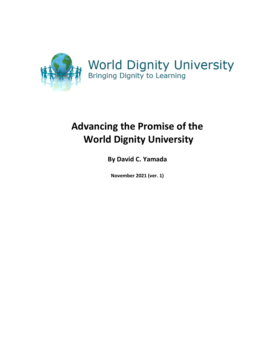

# **Advancing the Promise of the World Dignity University**

**By David C. Yamada**

**November 2021 (ver. 1)**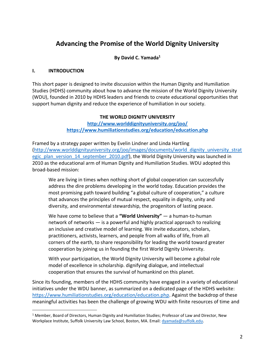# **Advancing the Promise of the World Dignity University**

# **By David C. Yamada<sup>1</sup>**

#### **I. INTRODUCTION**

This short paper is designed to invite discussion within the Human Dignity and Humiliation Studies (HDHS) community about how to advance the mission of the World Dignity University (WDU), founded in 2010 by HDHS leaders and friends to create educational opportunities that support human dignity and reduce the experience of humiliation in our society.

### **THE WORLD DIGNITY UNIVERSITY**

**<http://www.worlddignityuniversity.org/joo/> <https://www.humiliationstudies.org/education/education.php>**

Framed by a strategy paper written by Evelin Lindner and Linda Hartling [\(http://www.worlddignityuniversity.org/joo/images/documents/world\\_dignity\\_university\\_strat](http://www.worlddignityuniversity.org/joo/images/documents/world_dignity_university_strategic_plan_version_14_september_2010.pdf) [egic\\_plan\\_version\\_14\\_september\\_2010.pdf\)](http://www.worlddignityuniversity.org/joo/images/documents/world_dignity_university_strategic_plan_version_14_september_2010.pdf), the World Dignity University was launched in 2010 as the educational arm of Human Dignity and Humiliation Studies. WDU adopted this broad-based mission:

We are living in times when nothing short of global cooperation can successfully address the dire problems developing in the world today. Education provides the most promising path toward building "a global culture of cooperation," a culture that advances the principles of mutual respect, equality in dignity, unity and diversity, and environmental stewardship, the progenitors of lasting peace.

We have come to believe that a **"World University"** — a human-to-human network of networks — is a powerful and highly practical approach to realizing an inclusive and creative model of learning. We invite educators, scholars, practitioners, activists, learners, and people from all walks of life, from all corners of the earth, to share responsibility for leading the world toward greater cooperation by joining us in founding the first World Dignity University.

With your participation, the World Dignity University will become a global role model of excellence in scholarship. dignifying dialogue, and intellectual cooperation that ensures the survival of humankind on this planet.

Since its founding, members of the HDHS community have engaged in a variety of educational initiatives under the WDU banner, as summarized on a dedicated page of the HDHS website: [https://www.humiliationstudies.org/education/education.php.](https://www.humiliationstudies.org/education/education.php) Against the backdrop of these meaningful activities has been the challenge of growing WDU with finite resources of time and

<sup>1</sup> Member, Board of Directors, Human Dignity and Humiliation Studies; Professor of Law and Director, New Workplace Institute, Suffolk University Law School, Boston, MA. Email: [dyamada@suffolk.edu.](mailto:dyamada@suffolk.edu)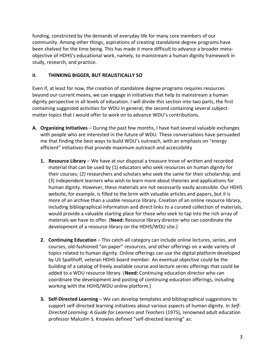funding, constricted by the demands of everyday life for many core members of our community. Among other things, aspirations of creating standalone degree programs have been shelved for the time being. This has made it more difficult to advance a broader metaobjective of HDHS's educational work, namely, to mainstream a human dignity framework in study, research, and practice.

# **II. THINKING BIGGER, BUT REALISTICALLY SO**

Even if, at least for now, the creation of standalone degree programs requires resources beyond our current means, we can engage in initiatives that help to mainstream a human dignity perspective in all levels of education. I will divide this section into two parts, the first containing suggested activities for WDU in general, the second containing several subjectmatter topics that I would offer to work on to advance WDU's contributions.

- **A. Organizing Initiatives** During the past few months, I have had several valuable exchanges with people who are interested in the future of WDU. These conversations have persuaded me that finding the best ways to build WDU's outreach, with an emphasis on "energy efficient" initiatives that provide maximum outreach and accessibility
	- **1. Resource Library** We have at our disposal a treasure trove of written and recorded material that can be used by (1) educators who seek resources on human dignity for their courses; (2) researchers and scholars who seek the same for their scholarship; and (3) independent learners who wish to learn more about theories and applications for human dignity. However, these materials are not necessarily easily accessible. Our HDHS website, for example, is filled to the brim with valuable articles and papers, but it is more of an archive than a usable resource library. Creation of an online resource library, including bibliographical information and direct links to a curated collection of materials, would provide a valuable starting place for those who seek to tap into the rich array of materials we have to offer. (**Need:** Resource library director who can coordinate the development of a resource library on the HDHS/WDU site.)
	- **2. Continuing Education** This catch-all category can include online lectures, series, and courses, old-fashioned "on paper" resources, and other offerings on a wide variety of topics related to human dignity. Online offerings can use the digital platform developed by Uli Spalthoff, veteran HDHS board member. An eventual objective could be the building of a catalog of freely available course and lecture series offerings that could be added to a WDU resource library. (**Need:** Continuing education director who can coordinate the development and posting of continuing education offerings, including working with the HDHS/WDU online platform.)
	- **3. Self-Directed Learning** We can develop templates and bibliographical suggestions to support self-directed learning initiatives about various aspects of human dignity. In *Self-Directed Learning: A Guide for Learners and Teachers* (1975), renowned adult education professor Malcolm S. Knowles defined "self-directed learning" as: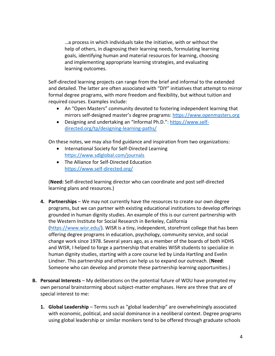…a process in which individuals take the initiative, with or without the help of others, in diagnosing their learning needs, formulating learning goals, identifying human and material resources for learning, choosing and implementing appropriate learning strategies, and evaluating learning outcomes.

Self-directed learning projects can range from the brief and informal to the extended and detailed. The latter are often associated with "DIY" initiatives that attempt to mirror formal degree programs, with more freedom and flexibility, but without tuition and required courses. Examples include:

- An "Open Masters" community devoted to fostering independent learning that mirrors self-designed master's degree programs: [https://www.openmasters.org](https://www.openmasters.org/)
- Designing and undertaking an "Informal Ph.D.": [https://www.self](https://www.self-directed.org/tp/designing-learning-paths/)[directed.org/tp/designing-learning-paths/](https://www.self-directed.org/tp/designing-learning-paths/)

On these notes, we may also find guidance and inspiration from two organizations:

- International Society for Self-Directed Learning <https://www.sdlglobal.com/journals>
- The Alliance for Self-Directed Education <https://www.self-directed.org/>

(**Need:** Self-directed learning director who can coordinate and post self-directed learning plans and resources.)

- **4. Partnerships** We may not currently have the resources to create our own degree programs, but we can partner with existing educational institutions to develop offerings grounded in human dignity studies. An example of this is our current partnership with the Western Institute for Social Research in Berkeley, California [\(https://www.wisr.edu/\)](https://www.wisr.edu/). WISR is a tiny, independent, storefront college that has been offering degree programs in education, psychology, community service, and social change work since 1978. Several years ago, as a member of the boards of both HDHS and WISR, I helped to forge a partnership that enables WISR students to specialize in human dignity studies, starting with a core course led by Linda Hartling and Evelin Lindner. This partnership and others can help us to expand our outreach. (**Need**: Someone who can develop and promote these partnership learning opportunities.)
- **B. Personal Interests** My deliberations on the potential future of WDU have prompted my own personal brainstorming about subject-matter emphases. Here are three that are of special interest to me:
	- **1. Global Leadership** Terms such as "global leadership" are overwhelmingly associated with economic, political, and social dominance in a neoliberal context. Degree programs using global leadership or similar monikers tend to be offered through graduate schools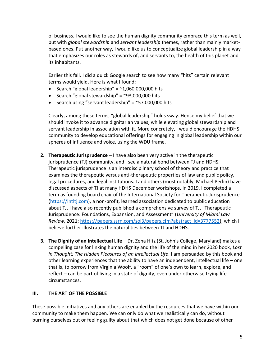of business. I would like to see the human dignity community embrace this term as well, but with *global stewardship* and *servant leadership* themes, rather than mainly marketbased ones. Put another way, I would like us to conceptualize global leadership in a way that emphasizes our roles as stewards of, and servants to, the health of this planet and its inhabitants.

Earlier this fall, I did a quick Google search to see how many "hits" certain relevant terms would yield. Here is what I found:

- Search "global leadership" =  $\approx$ 1,060,000,000 hits
- Search "global stewardship" =  $\sim$ 93,000,000 hits
- Search using "servant leadership" =  $\approx$  57,000,000 hits

Clearly, among these terms, "global leadership" holds sway. Hence my belief that we should invoke it to advance dignitarian values, while elevating global stewardship and servant leadership in association with it. More concretely, I would encourage the HDHS community to develop educational offerings for engaging in global leadership within our spheres of influence and voice, using the WDU frame.

- **2. Therapeutic Jurisprudence** I have also been very active in the therapeutic jurisprudence (TJ) community, and I see a natural bond between TJ and HDHS. Therapeutic jurisprudence is an interdisciplinary school of theory and practice that examines the therapeutic versus anti-therapeutic properties of law and public policy, legal procedures, and legal institutions. I and others (most notably, Michael Perlin) have discussed aspects of TJ at many HDHS December workshops. In 2019, I completed a term as founding board chair of the International Society for Therapeutic Jurisprudence [\(https://intltj.com\)](https://intltj.com/), a non-profit, learned association dedicated to public education about TJ. I have also recently published a comprehensive survey of TJ, "Therapeutic Jurisprudence: Foundations, Expansion, and Assessment" (*University of Miami Law Review*, 2021; [https://papers.ssrn.com/sol3/papers.cfm?abstract\\_id=3777552\)](https://papers.ssrn.com/sol3/papers.cfm?abstract_id=3777552), which I believe further illustrates the natural ties between TJ and HDHS.
- **3. The Dignity of an Intellectual Life** Dr. Zena Hitz (St. John's College, Maryland) makes a compelling case for linking human dignity and the life of the mind in her 2020 book, *Lost in Thought: The Hidden Pleasures of an Intellectual Life*. I am persuaded by this book and other learning experiences that the ability to have an independent, intellectual life – one that is, to borrow from Virginia Woolf, a "room" of one's own to learn, explore, and reflect – can be part of living in a state of dignity, even under otherwise trying life circumstances.

#### **III. THE ART OF THE POSSIBLE**

These possible initiatives and any others are enabled by the resources that we have within our community to make them happen. We can only do what we realistically can do, without burning ourselves out or feeling guilty about that which does not get done because of other